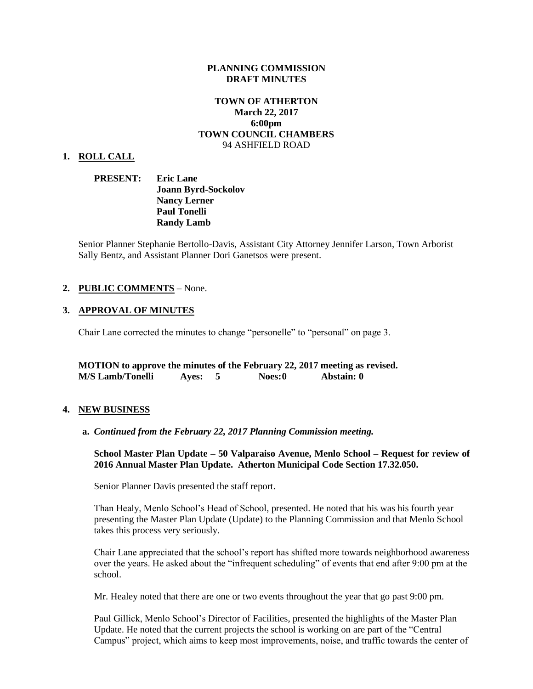### **PLANNING COMMISSION DRAFT MINUTES**

# **TOWN OF ATHERTON March 22, 2017 6:00pm TOWN COUNCIL CHAMBERS** 94 ASHFIELD ROAD

#### **1. ROLL CALL**

**PRESENT: Eric Lane Joann Byrd-Sockolov Nancy Lerner Paul Tonelli Randy Lamb**

Senior Planner Stephanie Bertollo-Davis, Assistant City Attorney Jennifer Larson, Town Arborist Sally Bentz, and Assistant Planner Dori Ganetsos were present.

### **2. PUBLIC COMMENTS** – None.

### **3. APPROVAL OF MINUTES**

Chair Lane corrected the minutes to change "personelle" to "personal" on page 3.

**MOTION to approve the minutes of the February 22, 2017 meeting as revised. M/S Lamb/Tonelli Ayes: 5 Noes:0 Abstain: 0**

#### **4. NEW BUSINESS**

**a.** *Continued from the February 22, 2017 Planning Commission meeting.* 

**School Master Plan Update – 50 Valparaiso Avenue, Menlo School – Request for review of 2016 Annual Master Plan Update. Atherton Municipal Code Section 17.32.050.** 

Senior Planner Davis presented the staff report.

Than Healy, Menlo School's Head of School, presented. He noted that his was his fourth year presenting the Master Plan Update (Update) to the Planning Commission and that Menlo School takes this process very seriously.

Chair Lane appreciated that the school's report has shifted more towards neighborhood awareness over the years. He asked about the "infrequent scheduling" of events that end after 9:00 pm at the school.

Mr. Healey noted that there are one or two events throughout the year that go past 9:00 pm.

Paul Gillick, Menlo School's Director of Facilities, presented the highlights of the Master Plan Update. He noted that the current projects the school is working on are part of the "Central Campus" project, which aims to keep most improvements, noise, and traffic towards the center of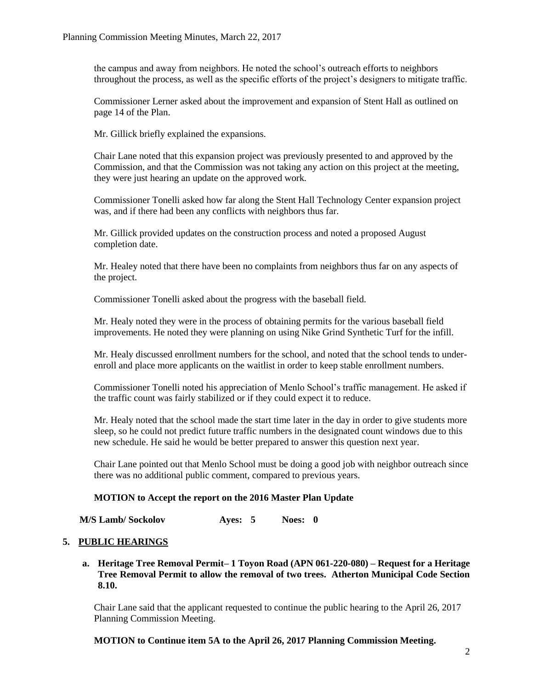the campus and away from neighbors. He noted the school's outreach efforts to neighbors throughout the process, as well as the specific efforts of the project's designers to mitigate traffic.

Commissioner Lerner asked about the improvement and expansion of Stent Hall as outlined on page 14 of the Plan.

Mr. Gillick briefly explained the expansions.

Chair Lane noted that this expansion project was previously presented to and approved by the Commission, and that the Commission was not taking any action on this project at the meeting, they were just hearing an update on the approved work.

Commissioner Tonelli asked how far along the Stent Hall Technology Center expansion project was, and if there had been any conflicts with neighbors thus far.

Mr. Gillick provided updates on the construction process and noted a proposed August completion date.

Mr. Healey noted that there have been no complaints from neighbors thus far on any aspects of the project.

Commissioner Tonelli asked about the progress with the baseball field.

Mr. Healy noted they were in the process of obtaining permits for the various baseball field improvements. He noted they were planning on using Nike Grind Synthetic Turf for the infill.

Mr. Healy discussed enrollment numbers for the school, and noted that the school tends to underenroll and place more applicants on the waitlist in order to keep stable enrollment numbers.

Commissioner Tonelli noted his appreciation of Menlo School's traffic management. He asked if the traffic count was fairly stabilized or if they could expect it to reduce.

Mr. Healy noted that the school made the start time later in the day in order to give students more sleep, so he could not predict future traffic numbers in the designated count windows due to this new schedule. He said he would be better prepared to answer this question next year.

Chair Lane pointed out that Menlo School must be doing a good job with neighbor outreach since there was no additional public comment, compared to previous years.

### **MOTION to Accept the report on the 2016 Master Plan Update**

 **M/S Lamb/ Sockolov Ayes: 5 Noes: 0**

### **5. PUBLIC HEARINGS**

**a. Heritage Tree Removal Permit– 1 Toyon Road (APN 061-220-080) – Request for a Heritage Tree Removal Permit to allow the removal of two trees. Atherton Municipal Code Section 8.10.**

Chair Lane said that the applicant requested to continue the public hearing to the April 26, 2017 Planning Commission Meeting.

### **MOTION to Continue item 5A to the April 26, 2017 Planning Commission Meeting.**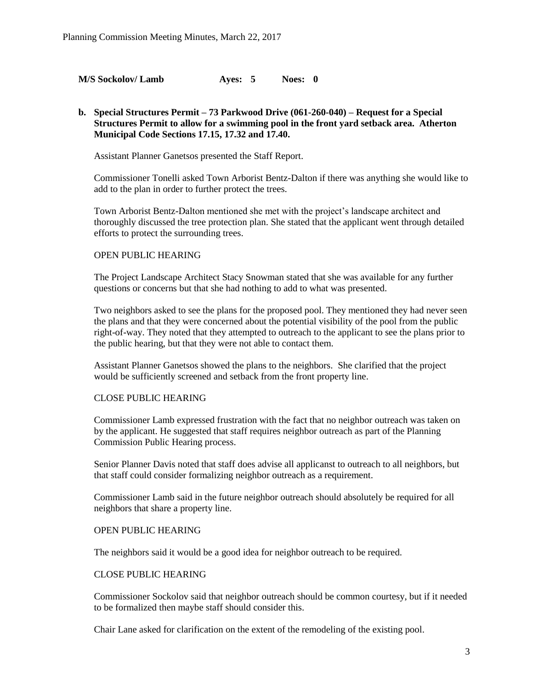**M/S Sockolov/ Lamb Ayes: 5 Noes: 0**

# **b. Special Structures Permit – 73 Parkwood Drive (061-260-040) – Request for a Special Structures Permit to allow for a swimming pool in the front yard setback area. Atherton Municipal Code Sections 17.15, 17.32 and 17.40.**

Assistant Planner Ganetsos presented the Staff Report.

Commissioner Tonelli asked Town Arborist Bentz-Dalton if there was anything she would like to add to the plan in order to further protect the trees.

Town Arborist Bentz-Dalton mentioned she met with the project's landscape architect and thoroughly discussed the tree protection plan. She stated that the applicant went through detailed efforts to protect the surrounding trees.

### OPEN PUBLIC HEARING

The Project Landscape Architect Stacy Snowman stated that she was available for any further questions or concerns but that she had nothing to add to what was presented.

Two neighbors asked to see the plans for the proposed pool. They mentioned they had never seen the plans and that they were concerned about the potential visibility of the pool from the public right-of-way. They noted that they attempted to outreach to the applicant to see the plans prior to the public hearing, but that they were not able to contact them.

Assistant Planner Ganetsos showed the plans to the neighbors. She clarified that the project would be sufficiently screened and setback from the front property line.

#### CLOSE PUBLIC HEARING

Commissioner Lamb expressed frustration with the fact that no neighbor outreach was taken on by the applicant. He suggested that staff requires neighbor outreach as part of the Planning Commission Public Hearing process.

Senior Planner Davis noted that staff does advise all applicanst to outreach to all neighbors, but that staff could consider formalizing neighbor outreach as a requirement.

Commissioner Lamb said in the future neighbor outreach should absolutely be required for all neighbors that share a property line.

### OPEN PUBLIC HEARING

The neighbors said it would be a good idea for neighbor outreach to be required.

#### CLOSE PUBLIC HEARING

Commissioner Sockolov said that neighbor outreach should be common courtesy, but if it needed to be formalized then maybe staff should consider this.

Chair Lane asked for clarification on the extent of the remodeling of the existing pool.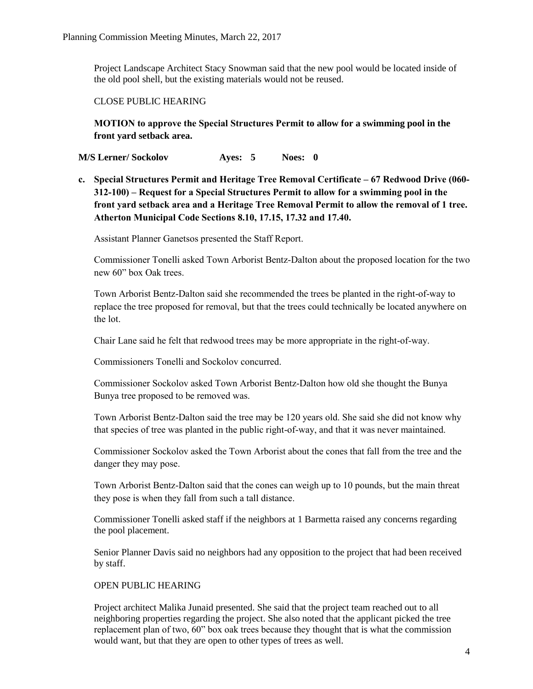Project Landscape Architect Stacy Snowman said that the new pool would be located inside of the old pool shell, but the existing materials would not be reused.

# CLOSE PUBLIC HEARING

**MOTION to approve the Special Structures Permit to allow for a swimming pool in the front yard setback area.**

**M/S Lerner/ Sockolov Ayes: 5 Noes: 0**

**c. Special Structures Permit and Heritage Tree Removal Certificate – 67 Redwood Drive (060- 312-100) – Request for a Special Structures Permit to allow for a swimming pool in the front yard setback area and a Heritage Tree Removal Permit to allow the removal of 1 tree. Atherton Municipal Code Sections 8.10, 17.15, 17.32 and 17.40.**

Assistant Planner Ganetsos presented the Staff Report.

Commissioner Tonelli asked Town Arborist Bentz-Dalton about the proposed location for the two new 60" box Oak trees.

Town Arborist Bentz-Dalton said she recommended the trees be planted in the right-of-way to replace the tree proposed for removal, but that the trees could technically be located anywhere on the lot.

Chair Lane said he felt that redwood trees may be more appropriate in the right-of-way.

Commissioners Tonelli and Sockolov concurred.

Commissioner Sockolov asked Town Arborist Bentz-Dalton how old she thought the Bunya Bunya tree proposed to be removed was.

Town Arborist Bentz-Dalton said the tree may be 120 years old. She said she did not know why that species of tree was planted in the public right-of-way, and that it was never maintained.

Commissioner Sockolov asked the Town Arborist about the cones that fall from the tree and the danger they may pose.

Town Arborist Bentz-Dalton said that the cones can weigh up to 10 pounds, but the main threat they pose is when they fall from such a tall distance.

Commissioner Tonelli asked staff if the neighbors at 1 Barmetta raised any concerns regarding the pool placement.

Senior Planner Davis said no neighbors had any opposition to the project that had been received by staff.

# OPEN PUBLIC HEARING

Project architect Malika Junaid presented. She said that the project team reached out to all neighboring properties regarding the project. She also noted that the applicant picked the tree replacement plan of two, 60" box oak trees because they thought that is what the commission would want, but that they are open to other types of trees as well.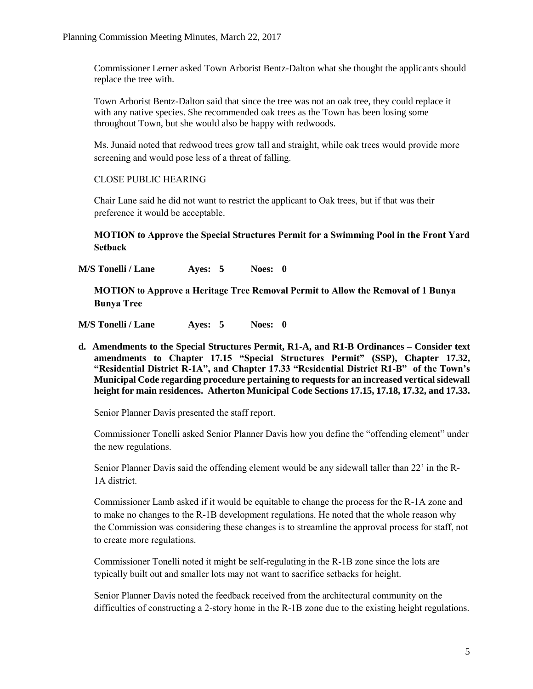Commissioner Lerner asked Town Arborist Bentz-Dalton what she thought the applicants should replace the tree with.

Town Arborist Bentz-Dalton said that since the tree was not an oak tree, they could replace it with any native species. She recommended oak trees as the Town has been losing some throughout Town, but she would also be happy with redwoods.

Ms. Junaid noted that redwood trees grow tall and straight, while oak trees would provide more screening and would pose less of a threat of falling.

# CLOSE PUBLIC HEARING

Chair Lane said he did not want to restrict the applicant to Oak trees, but if that was their preference it would be acceptable.

**MOTION to Approve the Special Structures Permit for a Swimming Pool in the Front Yard Setback** 

**M/S Tonelli / Lane Ayes: 5 Noes: 0**

**MOTION** t**o Approve a Heritage Tree Removal Permit to Allow the Removal of 1 Bunya Bunya Tree**

**M/S Tonelli / Lane Ayes: 5 Noes: 0**

**d. Amendments to the Special Structures Permit, R1-A, and R1-B Ordinances – Consider text amendments to Chapter 17.15 "Special Structures Permit" (SSP), Chapter 17.32, "Residential District R-1A", and Chapter 17.33 "Residential District R1-B" of the Town's Municipal Code regarding procedure pertaining to requests for an increased vertical sidewall height for main residences. Atherton Municipal Code Sections 17.15, 17.18, 17.32, and 17.33.**

Senior Planner Davis presented the staff report.

Commissioner Tonelli asked Senior Planner Davis how you define the "offending element" under the new regulations.

Senior Planner Davis said the offending element would be any sidewall taller than 22' in the R-1A district.

Commissioner Lamb asked if it would be equitable to change the process for the R-1A zone and to make no changes to the R-1B development regulations. He noted that the whole reason why the Commission was considering these changes is to streamline the approval process for staff, not to create more regulations.

Commissioner Tonelli noted it might be self-regulating in the R-1B zone since the lots are typically built out and smaller lots may not want to sacrifice setbacks for height.

Senior Planner Davis noted the feedback received from the architectural community on the difficulties of constructing a 2-story home in the R-1B zone due to the existing height regulations.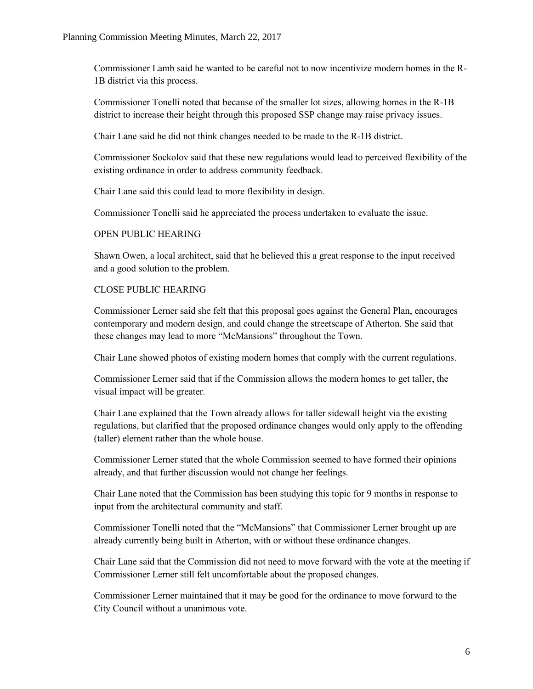Commissioner Lamb said he wanted to be careful not to now incentivize modern homes in the R-1B district via this process.

Commissioner Tonelli noted that because of the smaller lot sizes, allowing homes in the R-1B district to increase their height through this proposed SSP change may raise privacy issues.

Chair Lane said he did not think changes needed to be made to the R-1B district.

Commissioner Sockolov said that these new regulations would lead to perceived flexibility of the existing ordinance in order to address community feedback.

Chair Lane said this could lead to more flexibility in design.

Commissioner Tonelli said he appreciated the process undertaken to evaluate the issue.

# OPEN PUBLIC HEARING

Shawn Owen, a local architect, said that he believed this a great response to the input received and a good solution to the problem.

# CLOSE PUBLIC HEARING

Commissioner Lerner said she felt that this proposal goes against the General Plan, encourages contemporary and modern design, and could change the streetscape of Atherton. She said that these changes may lead to more "McMansions" throughout the Town.

Chair Lane showed photos of existing modern homes that comply with the current regulations.

Commissioner Lerner said that if the Commission allows the modern homes to get taller, the visual impact will be greater.

Chair Lane explained that the Town already allows for taller sidewall height via the existing regulations, but clarified that the proposed ordinance changes would only apply to the offending (taller) element rather than the whole house.

Commissioner Lerner stated that the whole Commission seemed to have formed their opinions already, and that further discussion would not change her feelings.

Chair Lane noted that the Commission has been studying this topic for 9 months in response to input from the architectural community and staff.

Commissioner Tonelli noted that the "McMansions" that Commissioner Lerner brought up are already currently being built in Atherton, with or without these ordinance changes.

Chair Lane said that the Commission did not need to move forward with the vote at the meeting if Commissioner Lerner still felt uncomfortable about the proposed changes.

Commissioner Lerner maintained that it may be good for the ordinance to move forward to the City Council without a unanimous vote.